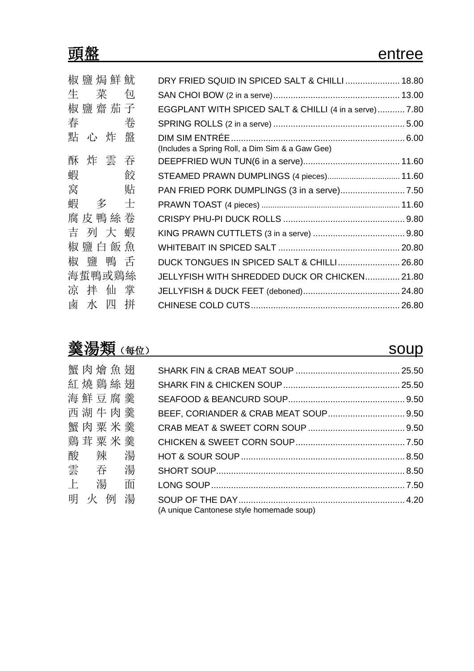|   | 椒 鹽 焗 鮮 魷 |   | DRY FRIED SQUID IN SPICED SALT & CHILLI  18.80         |  |
|---|-----------|---|--------------------------------------------------------|--|
| 生 | 菜         | 包 |                                                        |  |
|   | 椒鹽齋茄子     |   | EGGPLANT WITH SPICED SALT & CHILLI (4 in a serve) 7.80 |  |
| 春 |           | 卷 |                                                        |  |
| 點 | 心炸        | 盤 |                                                        |  |
|   |           |   | (Includes a Spring Roll, a Dim Sim & a Gaw Gee)        |  |
| 酥 | 炸 雲 吞     |   |                                                        |  |
| 蝦 |           | 餃 | STEAMED PRAWN DUMPLINGS (4 pieces) 11.60               |  |
| 窝 |           | 贴 |                                                        |  |
| 蝦 | 多         | 士 |                                                        |  |
|   | 腐皮鴨絲卷     |   |                                                        |  |
| 吉 | 列 大       | 蝦 |                                                        |  |
|   | 椒 鹽 白 飯 魚 |   |                                                        |  |
| 椒 |           |   | DUCK TONGUES IN SPICED SALT & CHILLI 26.80             |  |
|   | 海蜇鴨或鷄絲    |   | JELLYFISH WITH SHREDDED DUCK OR CHICKEN 21.80          |  |
| 凉 | 拌 仙 掌     |   |                                                        |  |
|   | 鹵水四拼      |   |                                                        |  |

# 黄湯類(每位) soup

| 蟹肉燴魚翅      |   |                                          |  |
|------------|---|------------------------------------------|--|
| 紅燒鷄絲翅      |   |                                          |  |
| 海鮮豆腐羹      |   |                                          |  |
| 西湖牛肉羹      |   |                                          |  |
| 蟹肉粟米羹      |   |                                          |  |
| 鷄茸粟米羹      |   |                                          |  |
| 酸辣湯        |   |                                          |  |
| 雲吞湯        |   |                                          |  |
| $\pm$<br>湯 | 面 |                                          |  |
| 明<br>火 例   | 湯 |                                          |  |
|            |   | (A unique Cantonese style homemade soup) |  |
|            |   |                                          |  |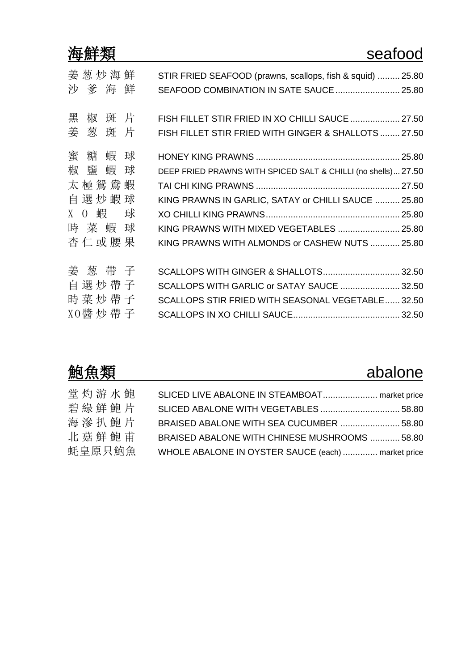|                                                                                    | seafood                                                                                                                                                                                                            |
|------------------------------------------------------------------------------------|--------------------------------------------------------------------------------------------------------------------------------------------------------------------------------------------------------------------|
| 姜 葱 炒 海 鮮<br>沙 爹 海 鮮                                                               | STIR FRIED SEAFOOD (prawns, scallops, fish & squid)  25.80<br>SEAFOOD COMBINATION IN SATE SAUCE  25.80                                                                                                             |
| 斑 片<br>黑<br>椒<br>姜葱斑片                                                              | FISH FILLET STIR FRIED IN XO CHILLI SAUCE  27.50<br>FISH FILLET STIR FRIED WITH GINGER & SHALLOTS  27.50                                                                                                           |
| 蜜<br>糖<br>蝦<br>球<br>椒 鹽<br>蝦<br>球<br>太極鴛鴦蝦<br>自選炒蝦球<br>X 0 蝦 球<br>時 菜 蝦 球<br>杏仁或腰果 | DEEP FRIED PRAWNS WITH SPICED SALT & CHILLI (no shells) 27.50<br>KING PRAWNS IN GARLIC, SATAY or CHILLI SAUCE  25.80<br>KING PRAWNS WITH MIXED VEGETABLES  25.80<br>KING PRAWNS WITH ALMONDS or CASHEW NUTS  25.80 |
| 姜 葱 帶 子<br>自選炒帶子<br>時菜炒帶子<br>X0醬 炒 帶 子                                             | SCALLOPS WITH GINGER & SHALLOTS 32.50<br>SCALLOPS WITH GARLIC or SATAY SAUCE  32.50<br>SCALLOPS STIR FRIED WITH SEASONAL VEGETABLE 32.50                                                                           |

| 鮑魚類    |                                                    | abalone |
|--------|----------------------------------------------------|---------|
| 堂灼游水鮑  | SLICED LIVE ABALONE IN STEAMBOAT market price      |         |
| 碧綠鮮鮑片  |                                                    |         |
| 海滲扒鮑片  | BRAISED ABALONE WITH SEA CUCUMBER  58.80           |         |
| 北菇鮮鮑甫  | BRAISED ABALONE WITH CHINESE MUSHROOMS  58.80      |         |
| 蚝皇原只鮑魚 | WHOLE ABALONE IN OYSTER SAUCE (each)  market price |         |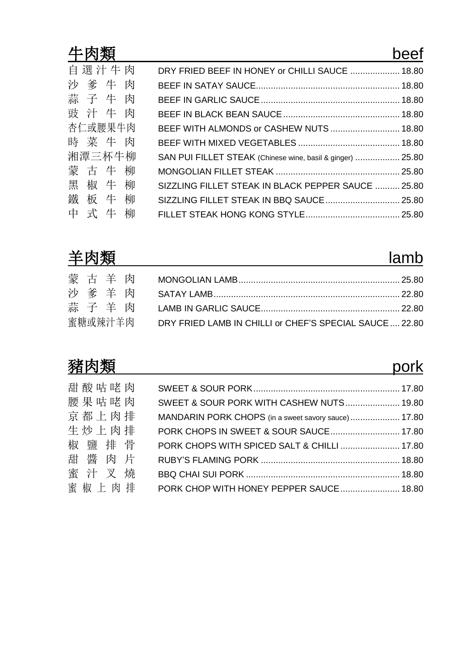| 牛肉類     |                                                            | beef |
|---------|------------------------------------------------------------|------|
| 自選汁牛肉   | DRY FRIED BEEF IN HONEY or CHILLI SAUCE  18.80             |      |
| 沙爹牛肉    |                                                            |      |
| 蒜子牛肉    |                                                            |      |
| 豉汁牛肉    |                                                            |      |
| 杏仁或腰果牛肉 | BEEF WITH ALMONDS or CASHEW NUTS  18.80                    |      |
| 時菜牛肉    |                                                            |      |
| 湘潭三杯牛柳  | SAN PUI FILLET STEAK (Chinese wine, basil & ginger)  25.80 |      |
| 蒙古牛柳    |                                                            |      |
| 黑椒牛柳    | SIZZLING FILLET STEAK IN BLACK PEPPER SAUCE  25.80         |      |
| 鐵板牛柳    |                                                            |      |
| 中式牛柳    |                                                            |      |

| 羊肉類     |                                                         | lamb |
|---------|---------------------------------------------------------|------|
|         |                                                         |      |
| 沙爹羊肉    |                                                         |      |
| 蒜子羊肉    |                                                         |      |
| 蜜糖或辣汁羊肉 | DRY FRIED LAMB IN CHILLI or CHEF'S SPECIAL SAUCE  22.80 |      |

# 豬肉類 pork

| 甜酸咕咾肉 |                                                     |  |
|-------|-----------------------------------------------------|--|
| 腰果咕咾肉 | SWEET & SOUR PORK WITH CASHEW NUTS 19.80            |  |
| 京都上肉排 | MANDARIN PORK CHOPS (in a sweet savory sauce) 17.80 |  |
| 生炒上肉排 | PORK CHOPS IN SWEET & SOUR SAUCE 17.80              |  |
| 椒鹽排骨  | PORK CHOPS WITH SPICED SALT & CHILLI  17.80         |  |
| 甜醬肉片  |                                                     |  |
| 蜜汁叉燒  |                                                     |  |
| 蜜椒上肉排 | PORK CHOP WITH HONEY PEPPER SAUCE 18.80             |  |
|       |                                                     |  |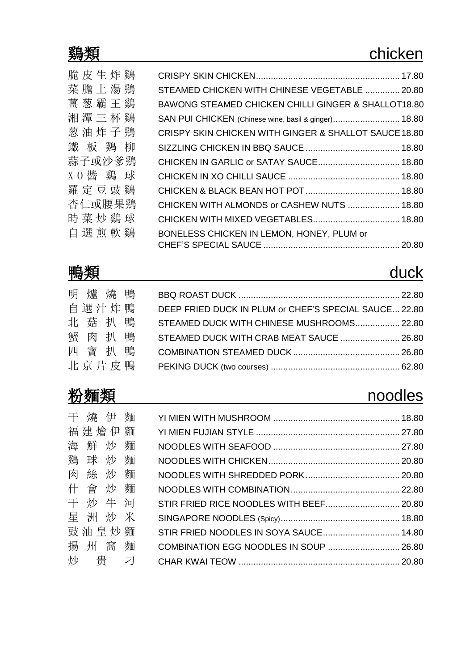| 脆皮生炸鷄   |                                                                |  |
|---------|----------------------------------------------------------------|--|
| 菜膽上湯鷄   | STEAMED CHICKEN WITH CHINESE VEGETABLE  20.80                  |  |
| 薑葱霸王鷄   | <b>BAWONG STEAMED CHICKEN CHILLI GINGER &amp; SHALLOT18.80</b> |  |
| 湘潭三杯鷄   | SAN PUI CHICKEN (Chinese wine, basil & ginger) 18.80           |  |
| 葱油炸子鷄   | CRISPY SKIN CHICKEN WITH GINGER & SHALLOT SAUCE 18.80          |  |
| 鐵板鷄柳    |                                                                |  |
| 蒜子或沙爹鷄  | CHICKEN IN GARLIC or SATAY SAUCE 18.80                         |  |
| XO醬 鷄 球 |                                                                |  |
| 羅定豆豉鷄   |                                                                |  |
| 杏仁或腰果鷄  | CHICKEN WITH ALMONDS or CASHEW NUTS  18.80                     |  |
| 時菜炒鷄球   |                                                                |  |
| 自選煎軟鷄   | BONELESS CHICKEN IN LEMON, HONEY, PLUM or                      |  |
|         |                                                                |  |
|         |                                                                |  |

# <u>鴨類 duck</u>

| 明爐燒鴨    |  |                                                       |  |
|---------|--|-------------------------------------------------------|--|
| 自選汁炸鴨   |  | DEEP FRIED DUCK IN PLUM or CHEF'S SPECIAL SAUCE 22.80 |  |
| 北菇扒鴨    |  | STEAMED DUCK WITH CHINESE MUSHROOMS 22.80             |  |
| 蟹 肉 扒 鴨 |  | STEAMED DUCK WITH CRAB MEAT SAUCE  26.80              |  |
| 四寶扒鴨    |  |                                                       |  |
| 北京片皮鴨   |  |                                                       |  |

## 粉麵類 noodles

| 干燒伊麵    |                                         |  |
|---------|-----------------------------------------|--|
| 福建燴伊麵   |                                         |  |
| 海鮮炒麵    |                                         |  |
| 鷄球炒麵    |                                         |  |
| 肉絲炒麵    |                                         |  |
| 什會炒麵    |                                         |  |
| 干炒牛河    | STIR FRIED RICE NOODLES WITH BEEF 20.80 |  |
| 星洲炒米    |                                         |  |
| 豉油旱炒麵   | STIR FRIED NOODLES IN SOYA SAUCE 14.80  |  |
| 揚 州 窩 麵 | COMBINATION EGG NOODLES IN SOUP  26.80  |  |
| 炒 贵 刁   |                                         |  |